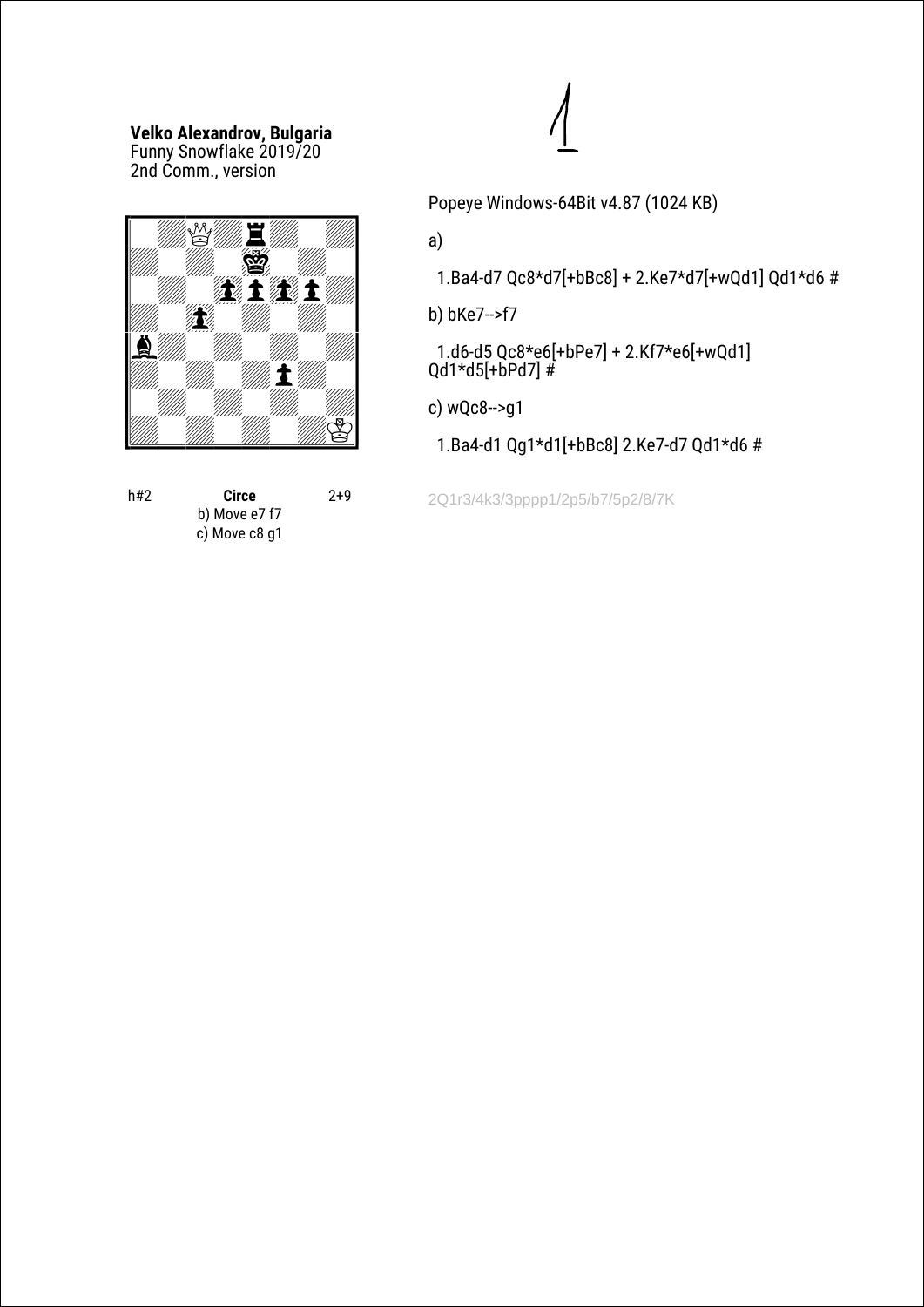# **Velko Alexandrov, Bulgaria** Funny Snowflake 2019/20

2nd Сomm., version



| h#2 | Circe         | $2+9$ |
|-----|---------------|-------|
|     | b) Move e7 f7 |       |
|     | c) Move c8 g1 |       |

Popeye Windows-64Bit v4.87 (1024 KB)

a)

1.Ba4-d7 Qc8\*d7[+bBc8] + 2.Ke7\*d7[+wQd1] Qd1\*d6 #

b) bKe7-->f7

 1.d6-d5 Qc8\*e6[+bPe7] + 2.Kf7\*e6[+wQd1] Qd1\*d5[+bPd7] #

c) wQc8-->g1

1.Ba4-d1 Qg1\*d1[+bBc8] 2.Ke7-d7 Qd1\*d6 #

2Q1r3/4k3/3pppp1/2p5/b7/5p2/8/7K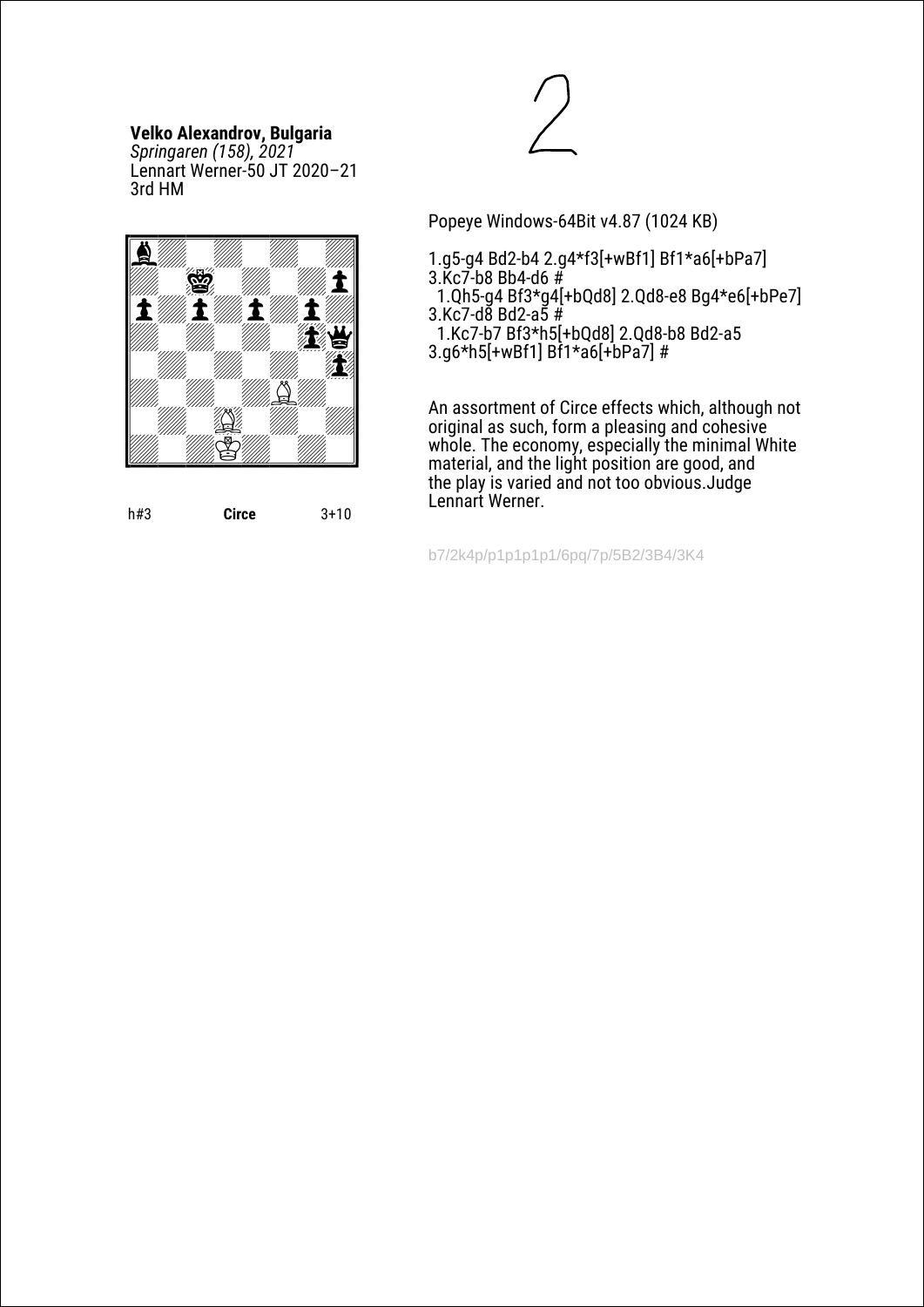## **Velko Alexandrov, Bulgaria**

*Springaren (158), 2021* Lennart Werner-50 JT 2020–21 3rd HM



h#3 **Circe** 3+10



Popeye Windows-64Bit v4.87 (1024 KB)

- 1.g5-g4 Bd2-b4 2.g4\*f3[+wBf1] Bf1\*a6[+bPa7] 3.Kc7-b8 Bb4-d6  $#$
- 1.Qh5-g4 Bf3\*g4[+bQd8] 2.Qd8-e8 Bg4\*e6[+bPe7]
- $3.Kc7-d8$  Bd2-a5 # 1.Kc7-b7 Bf3\*h5[+bQd8] 2.Qd8-b8 Bd2-a5 3.g6\*h5[+wBf1] Bf1\*a6[+bPa7] #

An assortment of Circe effects which, although not original as such, form a pleasing and cohesive whole. The economy, especially the minimal White material, and the light position are good, and the play is varied and not too obvious.Judge Lennart Werner.

b7/2k4p/p1p1p1p1/6pq/7p/5B2/3B4/3K4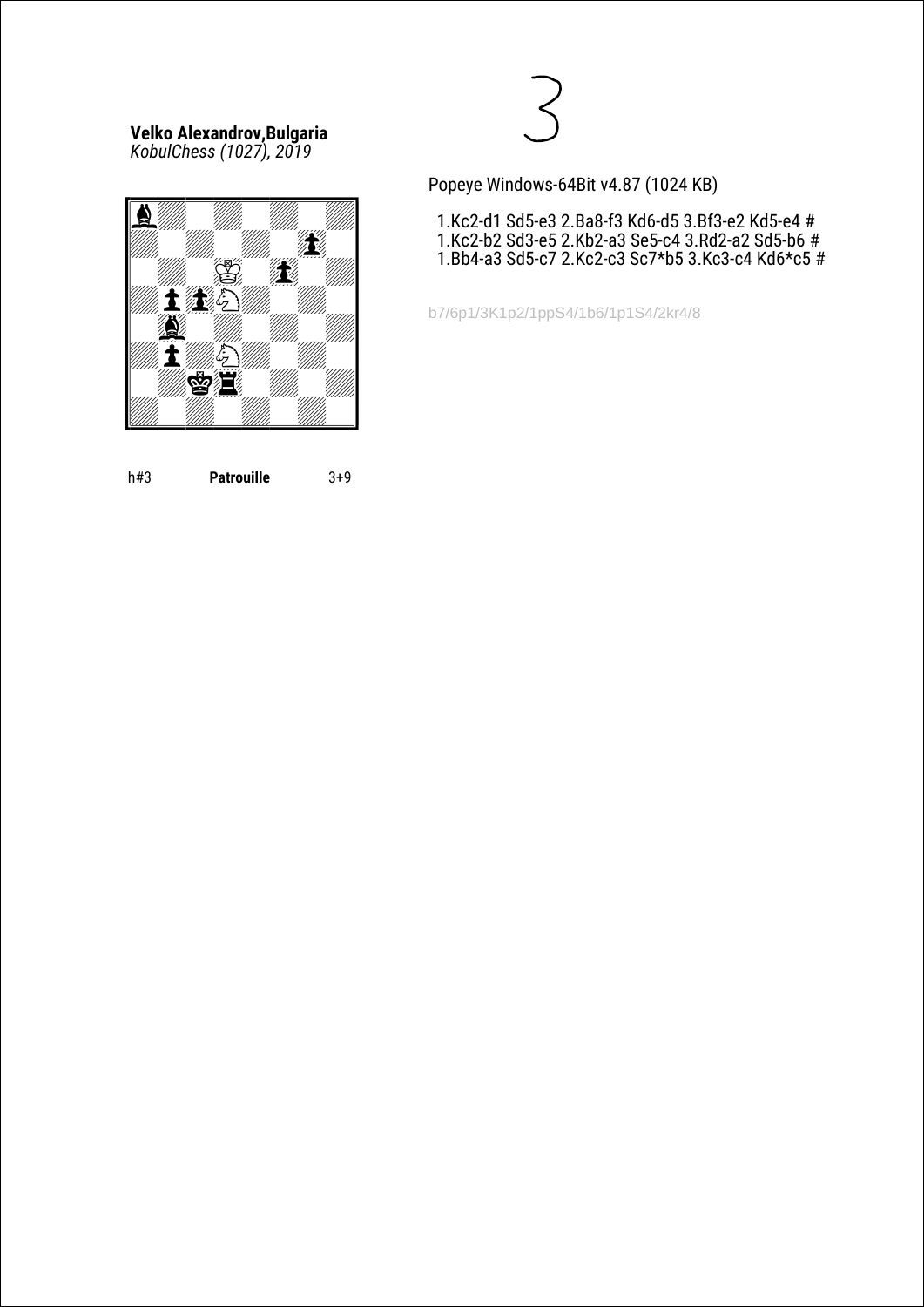**Velko Alexandrov,Bulgaria** *KobulChess (1027), 2019*



h#3 **Patrouille** 3+9



Popeye Windows-64Bit v4.87 (1024 KB)

 1.Kc2-d1 Sd5-e3 2.Ba8-f3 Kd6-d5 3.Bf3-e2 Kd5-e4 # 1.Kc2-b2 Sd3-e5 2.Kb2-a3 Se5-c4 3.Rd2-a2 Sd5-b6 # 1.Bb4-a3 Sd5-c7 2.Kc2-c3 Sc7\*b5 3.Kc3-c4 Kd6\*c5 #

b7/6p1/3K1p2/1ppS4/1b6/1p1S4/2kr4/8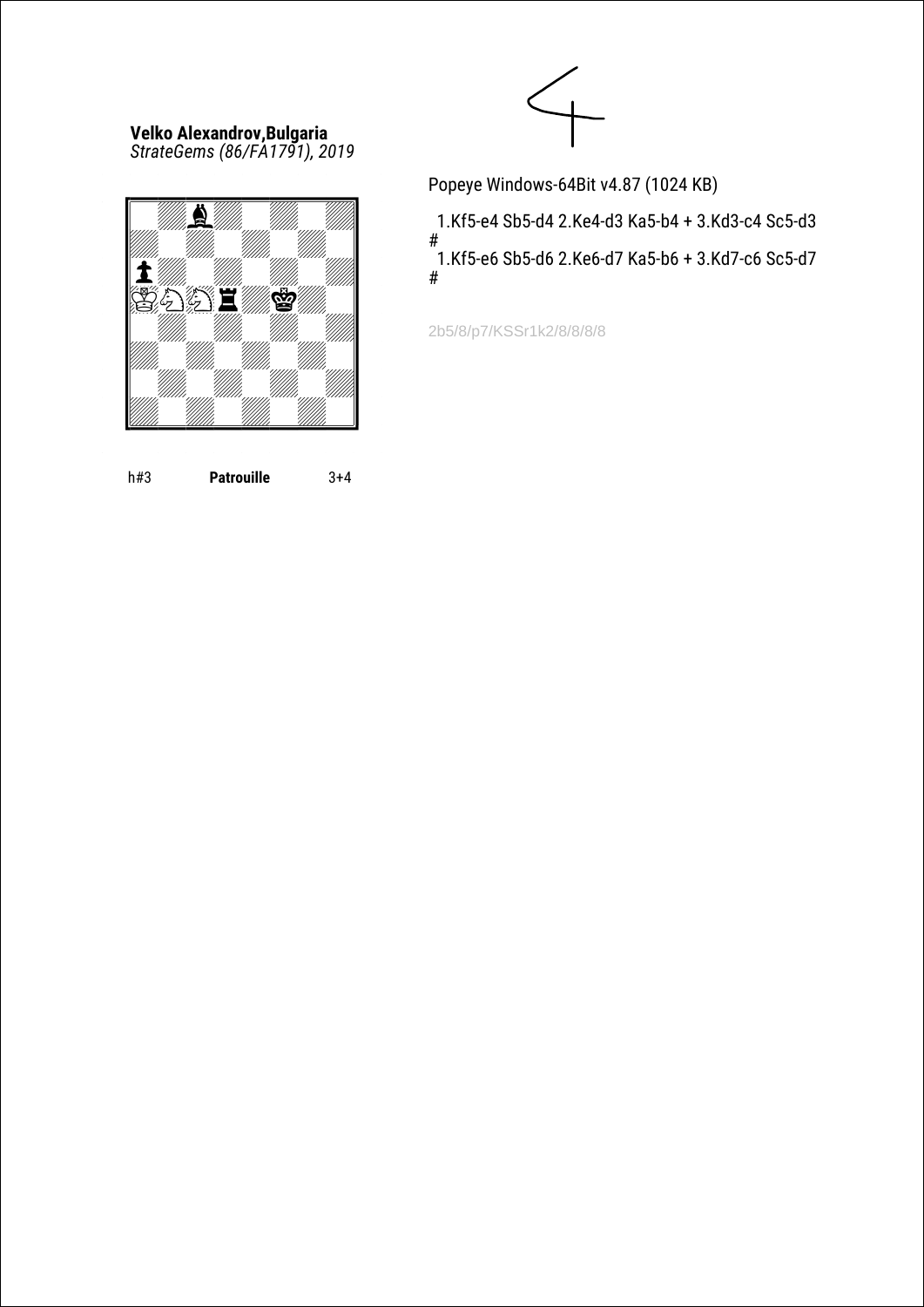#### **Velko Alexandrov,Bulgaria** *StrateGems (86/FA1791), 2019*



h#3 **Patrouille** 3+4



Popeye Windows-64Bit v4.87 (1024 KB)

 1.Kf5-e4 Sb5-d4 2.Ke4-d3 Ka5-b4 + 3.Kd3-c4 Sc5-d3 # 1.Kf5-e6 Sb5-d6 2.Ke6-d7 Ka5-b6 + 3.Kd7-c6 Sc5-d7 #

2b5/8/p7/KSSr1k2/8/8/8/8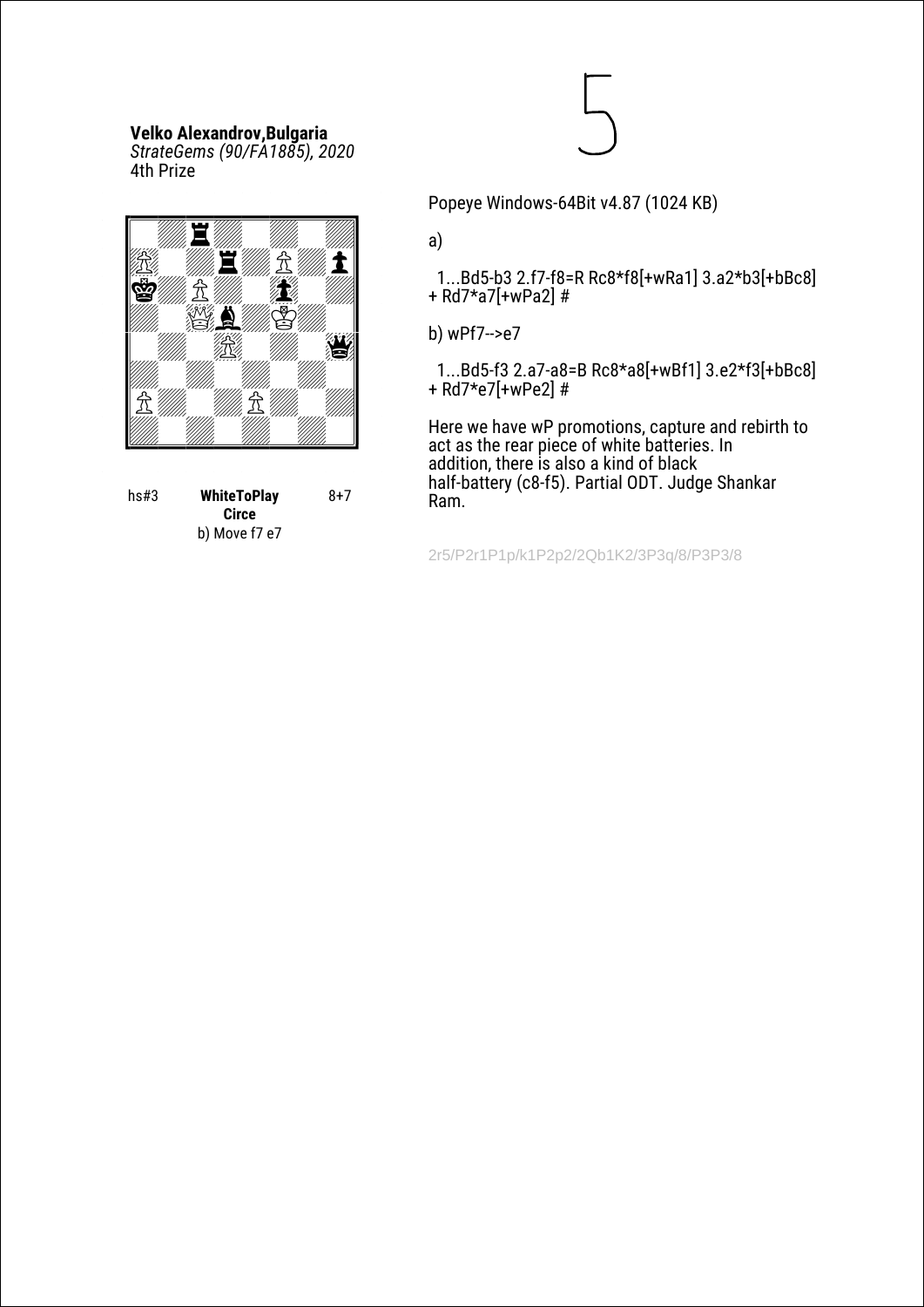# **Velko Alexandrov,Bulgaria**

*StrateGems (90/FA1885), 2020* 4th Prize



| hs#3 | <b>WhiteToPlay</b> | 8+7 |
|------|--------------------|-----|
|      | Circe              |     |
|      | b) Move f7 e7      |     |

Popeye Windows-64Bit v4.87 (1024 KB)

a)

 1...Bd5-b3 2.f7-f8=R Rc8\*f8[+wRa1] 3.a2\*b3[+bBc8] + Rd7\*a7[+wPa2] #

b) wPf7-->e7

 1...Bd5-f3 2.a7-a8=B Rc8\*a8[+wBf1] 3.e2\*f3[+bBc8] + Rd7\*e7[+wPe2] #

Here we have wP promotions, capture and rebirth to act as the rear piece of white batteries. In addition, there is also a kind of black half-battery (c8-f5). Partial ODT. Judge Shankar Ram.

2r5/P2r1P1p/k1P2p2/2Qb1K2/3P3q/8/P3P3/8